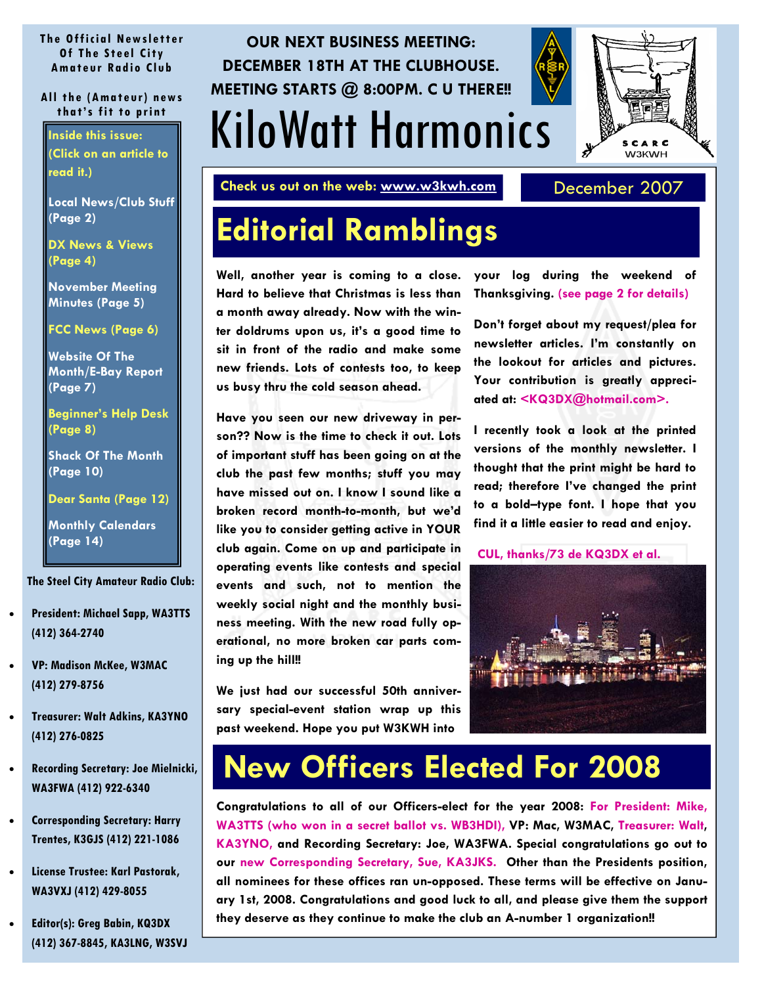#### <span id="page-0-0"></span>**The Official Newsletter Of The Steel City Amateur Radio Club**

#### **All the (Amateur) news that's fit to print**

**Inside this issue: (Click on an article to read it.)** 

**[Local News/Club Stuff](#page-1-0) (Page 2)** 

**[DX News & Views](#page-3-0) (Page 4)** 

**[November Meeting](#page-4-0) Minutes (Page 5)** 

**[FCC News \(Page 6\)](#page-5-0)** 

**Website Of The [Month/E-Bay Report](#page-6-0)  (Page 7)** 

**[Beginner's Help Desk](#page-7-0)  (Page 8)** 

**[Shack Of The Month](#page-9-0) (Page 10)** 

**[Dear Santa \(Page 12\)](#page-11-0)** 

**[Monthly Calendars](#page-13-0)  (Page 14)** 

**The Steel City Amateur Radio Club:** 

- **President: Michael Sapp, WA3TTS (412) 364-2740**
- **VP: Madison McKee, W3MAC (412) 279-8756**
- **Treasurer: Walt Adkins, KA3YNO (412) 276-0825**
- **Recording Secretary: Joe Mielnicki, WA3FWA (412) 922-6340**
- **Corresponding Secretary: Harry Trentes, K3GJS (412) 221-1086**
- **License Trustee: Karl Pastorak, WA3VXJ (412) 429-8055**
- **Editor(s): Greg Babin, KQ3DX (412) 367-8845, KA3LNG, W3SVJ**

## KiloWatt Harmonics **OUR NEXT BUSINESS MEETING: DECEMBER 18TH AT THE CLUBHOUSE. MEETING STARTS @ 8:00PM. C U THERE!!**

**Check us out on the web: www.w3kwh.com** December 2007

SCARC **W3KWH** 

## **Editorial Ramblings**

**Well, another year is coming to a close. Hard to believe that Christmas is less than a month away already. Now with the winter doldrums upon us, it's a good time to sit in front of the radio and make some new friends. Lots of contests too, to keep us busy thru the cold season ahead.** 

**Have you seen our new driveway in person?? Now is the time to check it out. Lots of important stuff has been going on at the club the past few months; stuff you may have missed out on. I know I sound like a broken record month-to-month, but we'd like you to consider getting active in YOUR club again. Come on up and participate in operating events like contests and special events and such, not to mention the weekly social night and the monthly business meeting. With the new road fully operational, no more broken car parts coming up the hill!!** 

**We just had our successful 50th anniversary special-event station wrap up this past weekend. Hope you put W3KWH into** 

**your log during the weekend of Thanksgiving. [\(see page 2 for details\)](#page-1-0)** 

**Don't forget about my request/plea for newsletter articles. I'm constantly on the lookout for articles and pictures. Your contribution is greatly appreciated at: <KQ3DX@hotmail.com>.** 

**I recently took a look at the printed versions of the monthly newsletter. I thought that the print might be hard to read; therefore I've changed the print to a bold–type font. I hope that you find it a little easier to read and enjoy.** 

**CUL, thanks/73 de KQ3DX et al.**



## **New Officers Elected For 2008**

**Congratulations to all of our Officers-elect for the year 2008: For President: Mike, WA3TTS (who won in a secret ballot vs. WB3HDI), VP: Mac, W3MAC, Treasurer: Walt, KA3YNO, and Recording Secretary: Joe, WA3FWA. Special congratulations go out to our new Corresponding Secretary, Sue, KA3JKS. Other than the Presidents position, all nominees for these offices ran un-opposed. These terms will be effective on January 1st, 2008. Congratulations and good luck to all, and please give them the support they deserve as they continue to make the club an A-number 1 organization!!**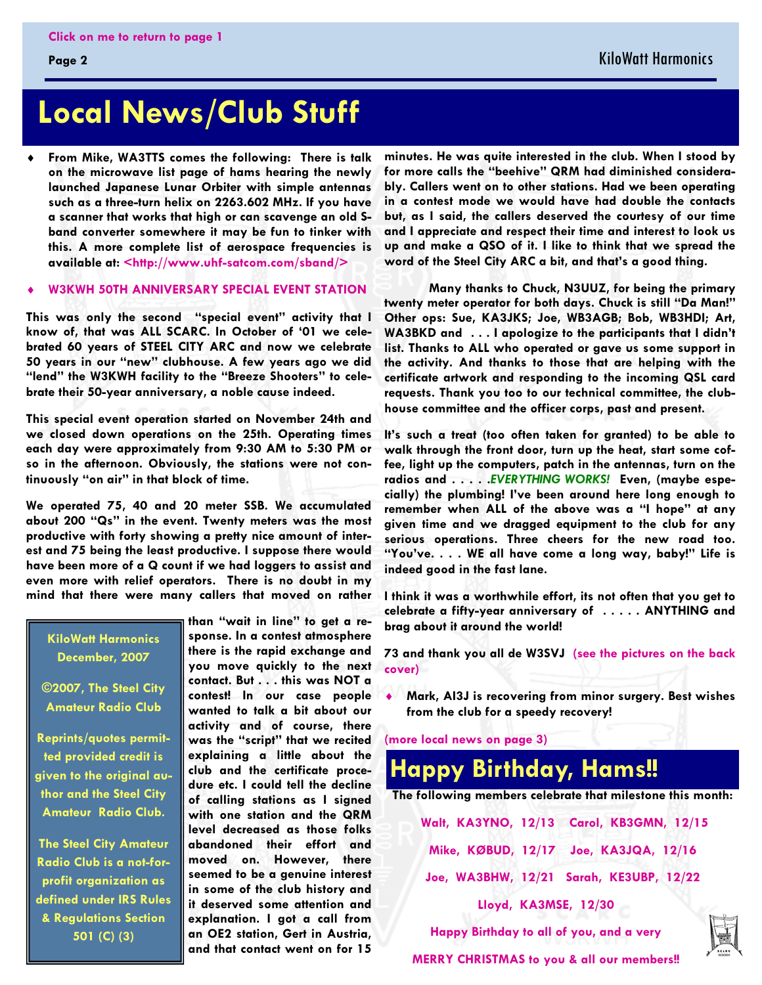## <span id="page-1-0"></span>**Local News/Club Stuff**

 $\ddot{\bullet}$  **From Mike, WA3TTS comes the following: There is talk on the microwave list page of hams hearing the newly launched Japanese Lunar Orbiter with simple antennas such as a three-turn helix on 2263.602 MHz. If you have a scanner that works that high or can scavenge an old Sband converter somewhere it may be fun to tinker with this. A more complete list of aerospace frequencies is available at: <http://www.uhf-satcom.com/sband/>** 

#### $\ddot{\bullet}$ **W3KWH 50TH ANNIVERSARY SPECIAL EVENT STATION**

**This was only the second "special event" activity that I know of, that was ALL SCARC. In October of '01 we celebrated 60 years of STEEL CITY ARC and now we celebrate 50 years in our "new" clubhouse. A few years ago we did "lend" the W3KWH facility to the "Breeze Shooters" to celebrate their 50-year anniversary, a noble cause indeed.** 

**This special event operation started on November 24th and we closed down operations on the 25th. Operating times each day were approximately from 9:30 AM to 5:30 PM or so in the afternoon. Obviously, the stations were not continuously "on air" in that block of time.** 

**We operated 75, 40 and 20 meter SSB. We accumulated about 200 "Qs" in the event. Twenty meters was the most productive with forty showing a pretty nice amount of interest and 75 being the least productive. I suppose there would have been more of a Q count if we had loggers to assist and even more with relief operators. There is no doubt in my mind that there were many callers that moved on rather** 

**KiloWatt Harmonics December, 2007** 

**©2007, The Steel City Amateur Radio Club** 

**Reprints/quotes permitted provided credit is given to the original author and the Steel City Amateur Radio Club.** 

**The Steel City Amateur Radio Club is a not-forprofit organization as defined under IRS Rules & Regulations Section 501 (C) (3)** 

**than "wait in line" to get a response. In a contest atmosphere there is the rapid exchange and you move quickly to the next contact. But . . . this was NOT a contest! In our case people wanted to talk a bit about our activity and of course, there was the "script" that we recited explaining a little about the club and the certificate procedure etc. I could tell the decline of calling stations as I signed with one station and the QRM level decreased as those folks abandoned their effort and moved on. However, there seemed to be a genuine interest in some of the club history and it deserved some attention and explanation. I got a call from an OE2 station, Gert in Austria, and that contact went on for 15** 

**minutes. He was quite interested in the club. When I stood by for more calls the "beehive" QRM had diminished considerably. Callers went on to other stations. Had we been operating in a contest mode we would have had double the contacts but, as I said, the callers deserved the courtesy of our time and I appreciate and respect their time and interest to look us up and make a QSO of it. I like to think that we spread the word of the Steel City ARC a bit, and that's a good thing.** 

**Many thanks to Chuck, N3UUZ, for being the primary twenty meter operator for both days. Chuck is still "Da Man!" Other ops: Sue, KA3JKS; Joe, WB3AGB; Bob, WB3HDI; Art, WA3BKD and . . . I apologize to the participants that I didn't list. Thanks to ALL who operated or gave us some support in the activity. And thanks to those that are helping with the certificate artwork and responding to the incoming QSL card requests. Thank you too to our technical committee, the clubhouse committee and the officer corps, past and present.** 

**It's such a treat (too often taken for granted) to be able to walk through the front door, turn up the heat, start some coffee, light up the computers, patch in the antennas, turn on the radios and . . . . .***EVERYTHING WORKS!* **Even, (maybe especially) the plumbing! I've been around here long enough to remember when ALL of the above was a "I hope" at any given time and we dragged equipment to the club for any serious operations. Three cheers for the new road too. "You've. . . . WE all have come a long way, baby!" Life is indeed good in the fast lane.** 

**I think it was a worthwhile effort, its not often that you get to celebrate a fifty-year anniversary of . . . . . ANYTHING and brag about it around the world!** 

**[73 and thank you all de W3SVJ \(see the pictures on the back](#page-15-0) cover)** 

 $\ddot{\bullet}$  **Mark, AI3J is recovering from minor surgery. Best wishes from the club for a speedy recovery!**

**[\(more local news on page 3\)](#page-2-0)** 



**Lloyd, KA3MSE, 12/30** 

**Happy Birthday to all of you, and a very** 

**MERRY CHRISTMAS to you & all our members!!**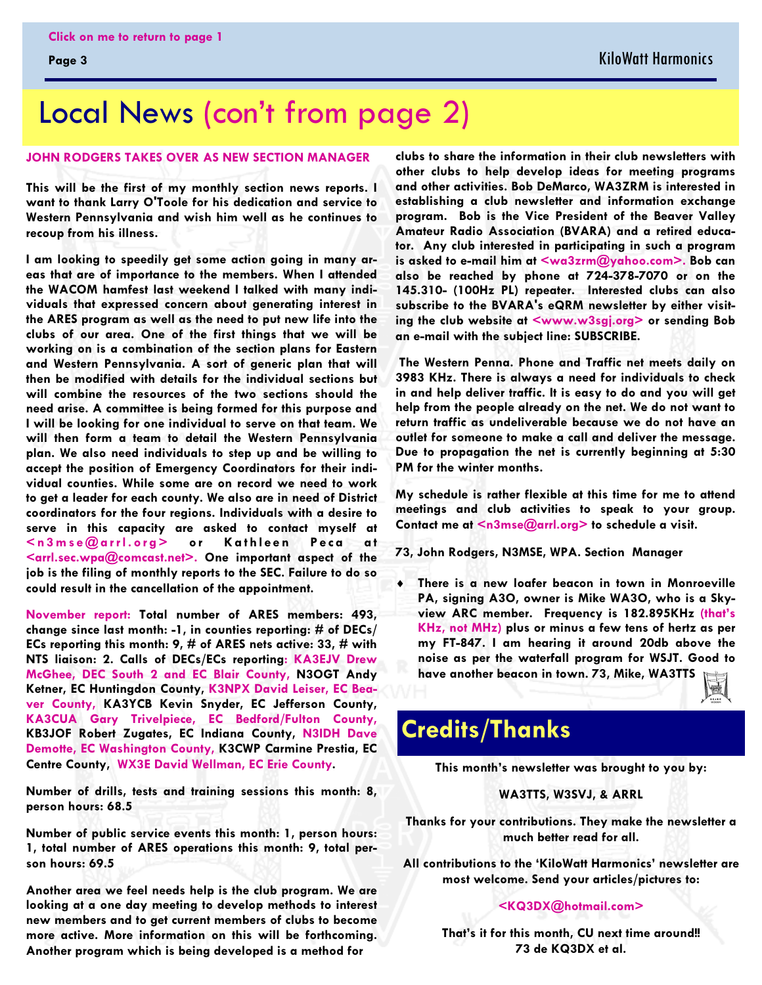## <span id="page-2-0"></span>Local News [\(con't from page 2\)](#page-1-0)

#### **JOHN RODGERS TAKES OVER AS NEW SECTION MANAGER**

**This will be the first of my monthly section news reports. I want to thank Larry O'Toole for his dedication and service to Western Pennsylvania and wish him well as he continues to recoup from his illness.** 

**I am looking to speedily get some action going in many areas that are of importance to the members. When I attended the WACOM hamfest last weekend I talked with many individuals that expressed concern about generating interest in the ARES program as well as the need to put new life into the clubs of our area. One of the first things that we will be working on is a combination of the section plans for Eastern and Western Pennsylvania. A sort of generic plan that will then be modified with details for the individual sections but will combine the resources of the two sections should the need arise. A committee is being formed for this purpose and I will be looking for one individual to serve on that team. We will then form a team to detail the Western Pennsylvania plan. We also need individuals to step up and be willing to accept the position of Emergency Coordinators for their individual counties. While some are on record we need to work to get a leader for each county. We also are in need of District coordinators for the four regions. Individuals with a desire to serve in this capacity are asked to contact myself at**  <n3mse@arrl.org> or Kathleen Peca at **<arrl.sec.wpa@comcast.net>. One important aspect of the job is the filing of monthly reports to the SEC. Failure to do so could result in the cancellation of the appointment.** 

**November report: Total number of ARES members: 493, change since last month: -1, in counties reporting: # of DECs/ ECs reporting this month: 9, # of ARES nets active: 33, # with NTS liaison: 2. Calls of DECs/ECs reporting: KA3EJV Drew McGhee, DEC South 2 and EC Blair County, N3OGT Andy Ketner, EC Huntingdon County, K3NPX David Leiser, EC Beaver County, KA3YCB Kevin Snyder, EC Jefferson County, KA3CUA Gary Trivelpiece, EC Bedford/Fulton County, KB3JOF Robert Zugates, EC Indiana County, N3IDH Dave Demotte, EC Washington County, K3CWP Carmine Prestia, EC Centre County, WX3E David Wellman, EC Erie County.** 

**Number of drills, tests and training sessions this month: 8, person hours: 68.5** 

**Number of public service events this month: 1, person hours: 1, total number of ARES operations this month: 9, total person hours: 69.5** 

**Another area we feel needs help is the club program. We are looking at a one day meeting to develop methods to interest new members and to get current members of clubs to become more active. More information on this will be forthcoming. Another program which is being developed is a method for** 

**clubs to share the information in their club newsletters with other clubs to help develop ideas for meeting programs and other activities. Bob DeMarco, WA3ZRM is interested in establishing a club newsletter and information exchange program. Bob is the Vice President of the Beaver Valley Amateur Radio Association (BVARA) and a retired educator. Any club interested in participating in such a program is asked to e-mail him at <wa3zrm@yahoo.com>. Bob can also be reached by phone at 724-378-7070 or on the 145.310- (100Hz PL) repeater. Interested clubs can also subscribe to the BVARA's eQRM newsletter by either visiting the club website at <www.w3sgj.org> or sending Bob an e-mail with the subject line: SUBSCRIBE.** 

 **The Western Penna. Phone and Traffic net meets daily on 3983 KHz. There is always a need for individuals to check in and help deliver traffic. It is easy to do and you will get help from the people already on the net. We do not want to return traffic as undeliverable because we do not have an outlet for someone to make a call and deliver the message. Due to propagation the net is currently beginning at 5:30 PM for the winter months.** 

**My schedule is rather flexible at this time for me to attend meetings and club activities to speak to your group. Contact me at <n3mse@arrl.org> to schedule a visit.** 

**73, John Rodgers, N3MSE, WPA. Section Manager** 

- **There is a new loafer beacon in town in Monroeville PA, signing A3O, owner is Mike WA3O, who is a Skyview ARC member. Frequency is 182.895KHz (that's KHz, not MHz) plus or minus a few tens of hertz as per my FT-847. I am hearing it around 20db above the noise as per the waterfall program for WSJT. Good to have another beacon in town. 73, Mike, WA3TTS** 

### **Credits/Thanks**

**This month's newsletter was brought to you by:** 

#### **WA3TTS, W3SVJ, & ARRL**

**Thanks for your contributions. They make the newsletter a much better read for all.** 

**All contributions to the 'KiloWatt Harmonics' newsletter are most welcome. Send your articles/pictures to:** 

**<KQ3DX@hotmail.com>** 

**That's it for this month, CU next time around!! 73 de KQ3DX et al.**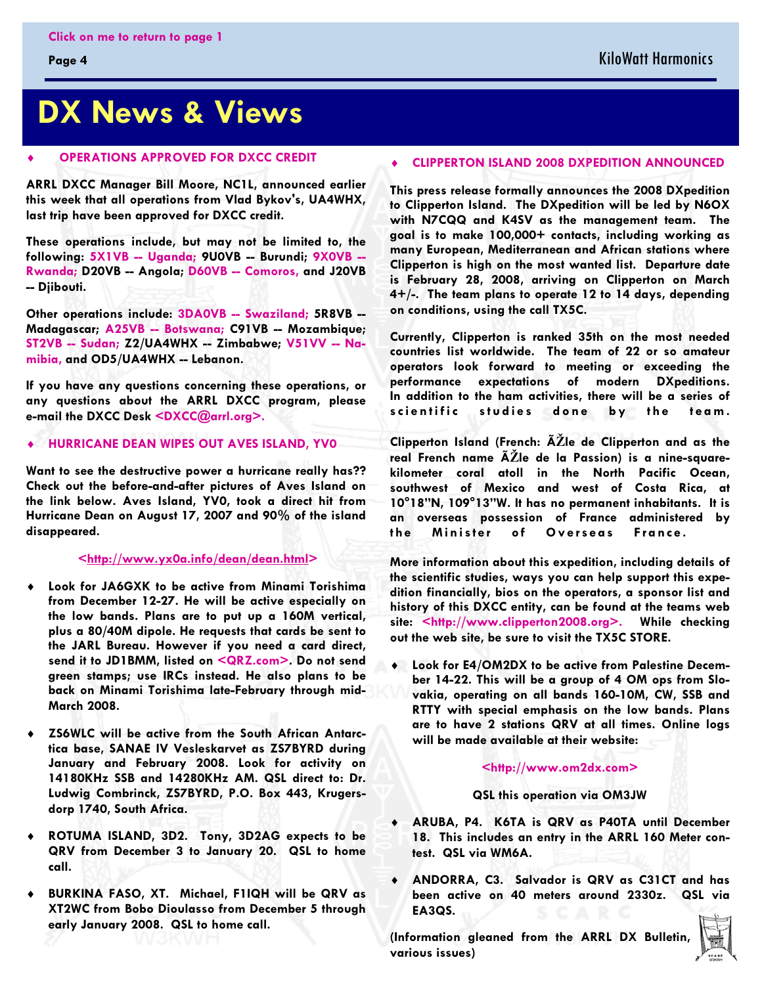#### <span id="page-3-0"></span>**Page 4**

## **DX News & Views**

#### $\ddot{\bullet}$  **OPERATIONS APPROVED FOR DXCC CREDIT**

**ARRL DXCC Manager Bill Moore, NC1L, announced earlier this week that all operations from Vlad Bykov's, UA4WHX, last trip have been approved for DXCC credit.** 

**These operations include, but may not be limited to, the following: 5X1VB -- Uganda; 9U0VB -- Burundi; 9X0VB -- Rwanda; D20VB -- Angola; D60VB -- Comoros, and J20VB -- Djibouti.** 

**Other operations include: 3DA0VB -- Swaziland; 5R8VB -- Madagascar; A25VB -- Botswana; C91VB -- Mozambique; ST2VB -- Sudan; Z2/UA4WHX -- Zimbabwe; V51VV -- Namibia, and OD5/UA4WHX -- Lebanon.** 

**If you have any questions concerning these operations, or any questions about the ARRL DXCC program, please e-mail the DXCC Desk <DXCC@arrl.org>.** 

#### - **HURRICANE DEAN WIPES OUT AVES ISLAND, YV0**

**Want to see the destructive power a hurricane really has?? Check out the before-and-after pictures of Aves Island on the link below. Aves Island, YV0, took a direct hit from Hurricane Dean on August 17, 2007 and 90% of the island disappeared.** 

#### **<http://www.yx0a.info/dean/dean.html>**

- $\ddot{\bullet}$  **Look for JA6GXK to be active from Minami Torishima from December 12-27. He will be active especially on the low bands. Plans are to put up a 160M vertical, plus a 80/40M dipole. He requests that cards be sent to the JARL Bureau. However if you need a card direct, send it to JD1BMM, listed on [<QRZ.com>](http://www.qrz.com). Do not send green stamps; use IRCs instead. He also plans to be back on Minami Torishima late-February through mid-March 2008.**
- $\ddot{\bullet}$  **ZS6WLC will be active from the South African Antarctica base, SANAE IV Vesleskarvet as ZS7BYRD during January and February 2008. Look for activity on 14180KHz SSB and 14280KHz AM. QSL direct to: Dr. Ludwig Combrinck, ZS7BYRD, P.O. Box 443, Krugersdorp 1740, South Africa.**
- $\ddot{\bullet}$  **ROTUMA ISLAND, 3D2. Tony, 3D2AG expects to be QRV from December 3 to January 20. QSL to home call.**
- $\ddot{\bullet}$  **BURKINA FASO, XT. Michael, F1IQH will be QRV as XT2WC from Bobo Dioulasso from December 5 through early January 2008. QSL to home call.**

#### $\ddot{\bullet}$ **CLIPPERTON ISLAND 2008 DXPEDITION ANNOUNCED**

**This press release formally announces the 2008 DXpedition to Clipperton Island. The DXpedition will be led by N6OX with N7CQQ and K4SV as the management team. The goal is to make 100,000+ contacts, including working as many European, Mediterranean and African stations where Clipperton is high on the most wanted list. Departure date is February 28, 2008, arriving on Clipperton on March 4+/-. The team plans to operate 12 to 14 days, depending on conditions, using the call TX5C.** 

**Currently, Clipperton is ranked 35th on the most needed countries list worldwide. The team of 22 or so amateur operators look forward to meeting or exceeding the performance expectations of modern DXpeditions. In addition to the ham activities, there will be a series of**  scientific studies done by the team.

**Clipperton Island (French: ÃŽle de Clipperton and as the real French name ÃŽle de la Passion) is a nine-squarekilometer coral atoll in the North Pacific Ocean, southwest of Mexico and west of Costa Rica, at 10°18"N, 109°13"W. It has no permanent inhabitants. It is an overseas possession of France administered by**  the Minister of Overseas France.

**More information about this expedition, including details of the scientific studies, ways you can help support this expedition financially, bios on the operators, a sponsor list and history of this DXCC entity, can be found at the teams web site: <http://www.clipperton2008.org>. While checking out the web site, be sure to visit the TX5C STORE.** 

 $\ddot{\bullet}$  **Look for E4/OM2DX to be active from Palestine December 14-22. This will be a group of 4 OM ops from Slovakia, operating on all bands 160-10M, CW, SSB and RTTY with special emphasis on the low bands. Plans are to have 2 stations QRV at all times. Online logs will be made available at their website:**

#### **<http://www.om2dx.com>**

#### **QSL this operation via OM3JW**

- $\ddot{\bullet}$  **ARUBA, P4. K6TA is QRV as P40TA until December 18. This includes an entry in the ARRL 160 Meter contest. QSL via WM6A.**
- $\bullet$  **ANDORRA, C3. Salvador is QRV as C31CT and has been active on 40 meters around 2330z. QSL via EA3QS.**

**(Information gleaned from the ARRL DX Bulletin, various issues)** 

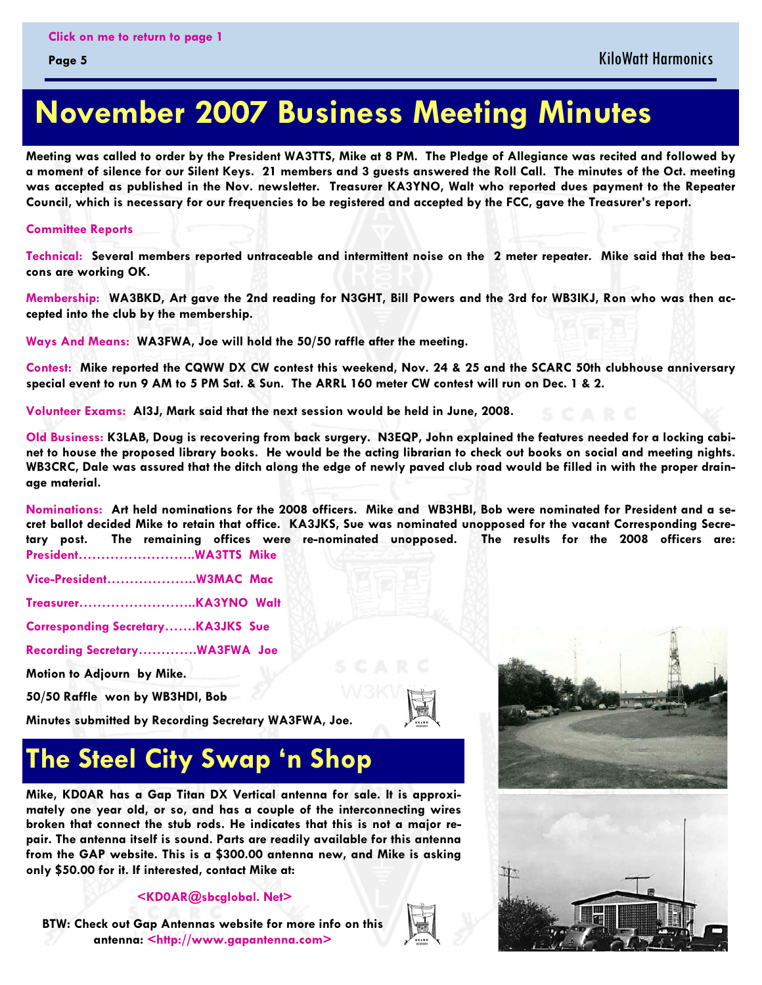## <span id="page-4-0"></span> **November 2007 Business Meeting Minutes**

**Meeting was called to order by the President WA3TTS, Mike at 8 PM. The Pledge of Allegiance was recited and followed by a moment of silence for our Silent Keys. 21 members and 3 guests answered the Roll Call. The minutes of the Oct. meeting was accepted as published in the Nov. newsletter. Treasurer KA3YNO, Walt who reported dues payment to the Repeater Council, which is necessary for our frequencies to be registered and accepted by the FCC, gave the Treasurer's report.** 

#### **Committee Reports**

**Technical: Several members reported untraceable and intermittent noise on the 2 meter repeater. Mike said that the beacons are working OK.** 

**Membership: WA3BKD, Art gave the 2nd reading for N3GHT, Bill Powers and the 3rd for WB3IKJ, Ron who was then accepted into the club by the membership.** 

**Ways And Means: WA3FWA, Joe will hold the 50/50 raffle after the meeting.** 

**Contest: Mike reported the CQWW DX CW contest this weekend, Nov. 24 & 25 and the SCARC 50th clubhouse anniversary special event to run 9 AM to 5 PM Sat. & Sun. The ARRL 160 meter CW contest will run on Dec. 1 & 2.** 

**Volunteer Exams: AI3J, Mark said that the next session would be held in June, 2008.** 

**Old Business: K3LAB, Doug is recovering from back surgery. N3EQP, John explained the features needed for a locking cabinet to house the proposed library books. He would be the acting librarian to check out books on social and meeting nights. WB3CRC, Dale was assured that the ditch along the edge of newly paved club road would be filled in with the proper drainage material.** 

**Nominations: Art held nominations for the 2008 officers. Mike and WB3HBI, Bob were nominated for President and a secret ballot decided Mike to retain that office. KA3JKS, Sue was nominated unopposed for the vacant Corresponding Secretary post. The remaining offices were re-nominated unopposed. The results for the 2008 officers are: President……………………..WA3TTS Mike** 

**Vice-President………………..W3MAC Mac** 

**Treasurer……………………..KA3YNO Walt** 

**Corresponding Secretary…….KA3JKS Sue** 

**Recording Secretary………….WA3FWA Joe** 

**Motion to Adjourn by Mike.** 

**50/50 Raffle won by WB3HDI, Bob** 

**Minutes submitted by Recording Secretary WA3FWA, Joe.** 



## **The Steel City Swap 'n Shop**

**Mike, KD0AR has a Gap Titan DX Vertical antenna for sale. It is approximately one year old, or so, and has a couple of the interconnecting wires broken that connect the stub rods. He indicates that this is not a major repair. The antenna itself is sound. Parts are readily available for this antenna from the GAP website. This is a \$300.00 antenna new, and Mike is asking only \$50.00 for it. If interested, contact Mike at:** 

#### **<KD0AR@sbcglobal. Net>**

**BTW: Check out Gap Antennas website for more info on this antenna: <http://www.gapantenna.com>**





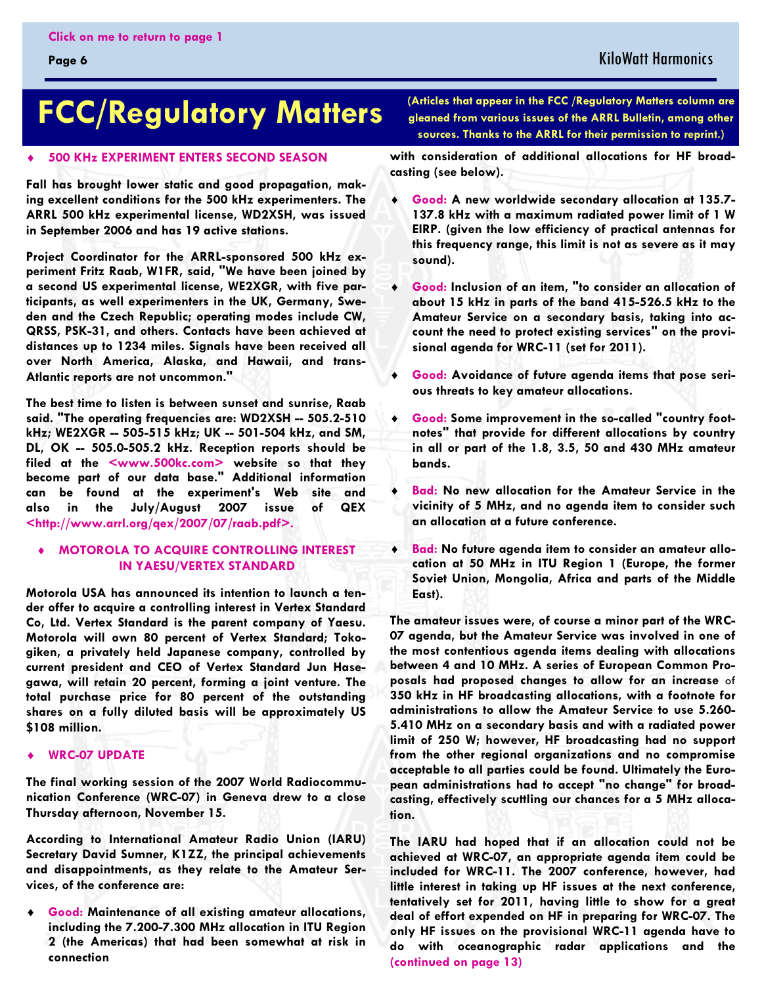#### KiloWatt Harmonics

## <span id="page-5-0"></span>**FCC/Regulatory Matters**

#### $\ddot{\bullet}$ **500 KHz EXPERIMENT ENTERS SECOND SEASON**

**Fall has brought lower static and good propagation, making excellent conditions for the 500 kHz experimenters. The ARRL 500 kHz experimental license, WD2XSH, was issued in September 2006 and has 19 active stations.** 

**Project Coordinator for the ARRL-sponsored 500 kHz experiment Fritz Raab, W1FR, said, "We have been joined by a second US experimental license, WE2XGR, with five participants, as well experimenters in the UK, Germany, Sweden and the Czech Republic; operating modes include CW, QRSS, PSK-31, and others. Contacts have been achieved at distances up to 1234 miles. Signals have been received all over North America, Alaska, and Hawaii, and trans-Atlantic reports are not uncommon."** 

**The best time to listen is between sunset and sunrise, Raab said. "The operating frequencies are: WD2XSH -- 505.2-510 kHz; WE2XGR -- 505-515 kHz; UK -- 501-504 kHz, and SM, DL, OK -- 505.0-505.2 kHz. Reception reports should be filed at the <www.500kc.com> website so that they become part of our data base." Additional information can be found at the experiment's Web site and also in the July/August 2007 issue of QEX <http://www.arrl.org/qex/2007/07/raab.pdf>.** 

#### $\ddot{\bullet}$  **MOTOROLA TO ACQUIRE CONTROLLING INTEREST IN YAESU/VERTEX STANDARD**

**Motorola USA has announced its intention to launch a tender offer to acquire a controlling interest in Vertex Standard Co, Ltd. Vertex Standard is the parent company of Yaesu. Motorola will own 80 percent of Vertex Standard; Tokogiken, a privately held Japanese company, controlled by current president and CEO of Vertex Standard Jun Hasegawa, will retain 20 percent, forming a joint venture. The total purchase price for 80 percent of the outstanding shares on a fully diluted basis will be approximately US \$108 million.** 

#### $\ddot{\bullet}$ **WRC-07 UPDATE**

**The final working session of the 2007 World Radiocommunication Conference (WRC-07) in Geneva drew to a close Thursday afternoon, November 15.** 

**According to International Amateur Radio Union (IARU) Secretary David Sumner, K1ZZ, the principal achievements and disappointments, as they relate to the Amateur Services, of the conference are:** 

- **Good: Maintenance of all existing amateur allocations, including the 7.200-7.300 MHz allocation in ITU Region 2 (the Americas) that had been somewhat at risk in connection** 

**(Articles that appear in the FCC /Regulatory Matters column are gleaned from various issues of the ARRL Bulletin, among other sources. Thanks to the ARRL for their permission to reprint.)** 

**with consideration of additional allocations for HF broadcasting (see below).** 

- $\ddot{\bullet}$  **Good: A new worldwide secondary allocation at 135.7- 137.8 kHz with a maximum radiated power limit of 1 W EIRP. (given the low efficiency of practical antennas for this frequency range, this limit is not as severe as it may sound).**
- $\blacklozenge$  **Good: Inclusion of an item, "to consider an allocation of about 15 kHz in parts of the band 415-526.5 kHz to the Amateur Service on a secondary basis, taking into account the need to protect existing services" on the provisional agenda for WRC-11 (set for 2011).**
- $\ddot{\bullet}$  **Good: Avoidance of future agenda items that pose serious threats to key amateur allocations.**
- $\bullet$  **Good: Some improvement in the so-called "country footnotes" that provide for different allocations by country in all or part of the 1.8, 3.5, 50 and 430 MHz amateur bands.**
- $\ddot{\bullet}$  **Bad: No new allocation for the Amateur Service in the vicinity of 5 MHz, and no agenda item to consider such an allocation at a future conference.**
- $\ddot{\bullet}$  **Bad: No future agenda item to consider an amateur allocation at 50 MHz in ITU Region 1 (Europe, the former Soviet Union, Mongolia, Africa and parts of the Middle East).**

**The amateur issues were, of course a minor part of the WRC-07 agenda, but the Amateur Service was involved in one of the most contentious agenda items dealing with allocations between 4 and 10 MHz. A series of European Common Proposals had proposed changes to allow for an increase** of **350 kHz in HF broadcasting allocations, with a footnote for administrations to allow the Amateur Service to use 5.260- 5.410 MHz on a secondary basis and with a radiated power limit of 250 W; however, HF broadcasting had no support from the other regional organizations and no compromise acceptable to all parties could be found. Ultimately the European administrations had to accept "no change" for broadcasting, effectively scuttling our chances for a 5 MHz allocation.** 

**The IARU had hoped that if an allocation could not be achieved at WRC-07, an appropriate agenda item could be included for WRC-11. The 2007 conference, however, had little interest in taking up HF issues at the next conference, tentatively set for 2011, having little to show for a great deal of effort expended on HF in preparing for WRC-07. The only HF issues on the provisional WRC-11 agenda have to do with oceanographic radar applications and the [\(continued on page 13\)](#page-12-0)**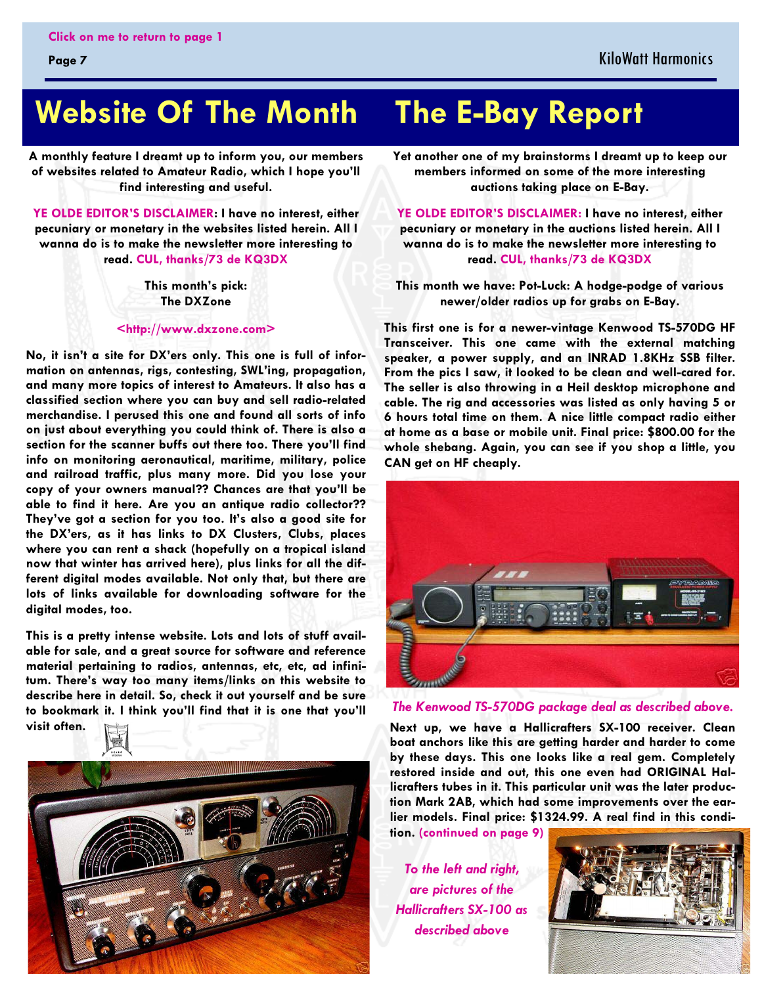## <span id="page-6-0"></span> **Website Of The Month The E-Bay Report**

**A monthly feature I dreamt up to inform you, our members of websites related to Amateur Radio, which I hope you'll find interesting and useful.** 

**YE OLDE EDITOR'S DISCLAIMER: I have no interest, either pecuniary or monetary in the websites listed herein. All I wanna do is to make the newsletter more interesting to read. CUL, thanks/73 de KQ3DX** 

> **This month's pick: The DXZone**

**<http://www.dxzone.com>** 

**No, it isn't a site for DX'ers only. This one is full of information on antennas, rigs, contesting, SWL'ing, propagation, and many more topics of interest to Amateurs. It also has a classified section where you can buy and sell radio-related merchandise. I perused this one and found all sorts of info on just about everything you could think of. There is also a section for the scanner buffs out there too. There you'll find info on monitoring aeronautical, maritime, military, police and railroad traffic, plus many more. Did you lose your copy of your owners manual?? Chances are that you'll be able to find it here. Are you an antique radio collector?? They've got a section for you too. It's also a good site for the DX'ers, as it has links to DX Clusters, Clubs, places where you can rent a shack (hopefully on a tropical island now that winter has arrived here), plus links for all the different digital modes available. Not only that, but there are lots of links available for downloading software for the digital modes, too.** 

**This is a pretty intense website. Lots and lots of stuff available for sale, and a great source for software and reference material pertaining to radios, antennas, etc, etc, ad infinitum. There's way too many items/links on this website to describe here in detail. So, check it out yourself and be sure to bookmark it. I think you'll find that it is one that you'll visit often.** 



**Yet another one of my brainstorms I dreamt up to keep our members informed on some of the more interesting auctions taking place on E-Bay.** 

**YE OLDE EDITOR'S DISCLAIMER: I have no interest, either pecuniary or monetary in the auctions listed herein. All I wanna do is to make the newsletter more interesting to read. CUL, thanks/73 de KQ3DX** 

**This month we have: Pot-Luck: A hodge-podge of various newer/older radios up for grabs on E-Bay.** 

**This first one is for a newer-vintage Kenwood TS-570DG HF Transceiver. This one came with the external matching speaker, a power supply, and an INRAD 1.8KHz SSB filter. From the pics I saw, it looked to be clean and well-cared for. The seller is also throwing in a Heil desktop microphone and cable. The rig and accessories was listed as only having 5 or 6 hours total time on them. A nice little compact radio either at home as a base or mobile unit. Final price: \$800.00 for the whole shebang. Again, you can see if you shop a little, you CAN get on HF cheaply.** 



#### *The Kenwood TS-570DG package deal as described above.*

**Next up, we have a Hallicrafters SX-100 receiver. Clean boat anchors like this are getting harder and harder to come by these days. This one looks like a real gem. Completely restored inside and out, this one even had ORIGINAL Hallicrafters tubes in it. This particular unit was the later production Mark 2AB, which had some improvements over the earlier models. Final price: \$1324.99. A real find in this condition. [\(continued on page 9\)](#page-8-0)**

*To the left and right, are pictures of the Hallicrafters SX-100 as described above* 

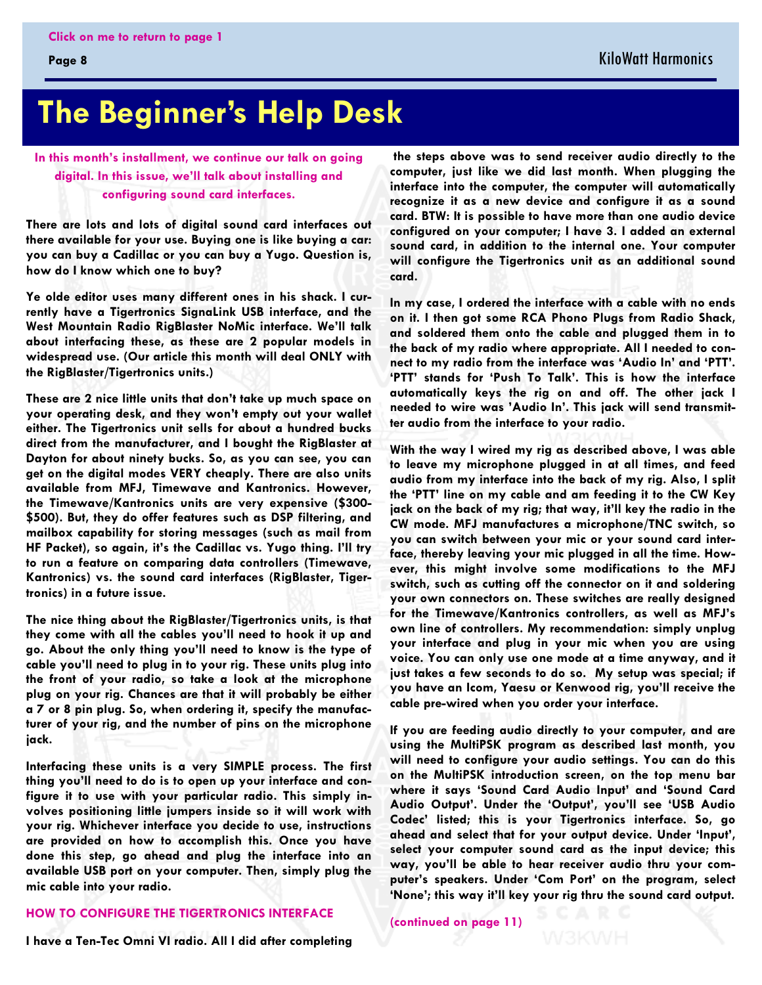## <span id="page-7-0"></span>**The Beginner's Help Desk**

**In this month's installment, we continue our talk on going digital. In this issue, we'll talk about installing and configuring sound card interfaces.** 

**There are lots and lots of digital sound card interfaces out there available for your use. Buying one is like buying a car: you can buy a Cadillac or you can buy a Yugo. Question is, how do I know which one to buy?** 

**Ye olde editor uses many different ones in his shack. I currently have a Tigertronics SignaLink USB interface, and the West Mountain Radio RigBlaster NoMic interface. We'll talk about interfacing these, as these are 2 popular models in widespread use. (Our article this month will deal ONLY with the RigBlaster/Tigertronics units.)** 

**These are 2 nice little units that don't take up much space on your operating desk, and they won't empty out your wallet either. The Tigertronics unit sells for about a hundred bucks direct from the manufacturer, and I bought the RigBlaster at Dayton for about ninety bucks. So, as you can see, you can get on the digital modes VERY cheaply. There are also units available from MFJ, Timewave and Kantronics. However, the Timewave/Kantronics units are very expensive (\$300- \$500). But, they do offer features such as DSP filtering, and mailbox capability for storing messages (such as mail from HF Packet), so again, it's the Cadillac vs. Yugo thing. I'll try to run a feature on comparing data controllers (Timewave, Kantronics) vs. the sound card interfaces (RigBlaster, Tigertronics) in a future issue.** 

**The nice thing about the RigBlaster/Tigertronics units, is that they come with all the cables you'll need to hook it up and go. About the only thing you'll need to know is the type of cable you'll need to plug in to your rig. These units plug into the front of your radio, so take a look at the microphone plug on your rig. Chances are that it will probably be either a 7 or 8 pin plug. So, when ordering it, specify the manufacturer of your rig, and the number of pins on the microphone jack.** 

**Interfacing these units is a very SIMPLE process. The first thing you'll need to do is to open up your interface and configure it to use with your particular radio. This simply involves positioning little jumpers inside so it will work with your rig. Whichever interface you decide to use, instructions are provided on how to accomplish this. Once you have done this step, go ahead and plug the interface into an available USB port on your computer. Then, simply plug the mic cable into your radio.** 

#### **HOW TO CONFIGURE THE TIGERTRONICS INTERFACE**

 **the steps above was to send receiver audio directly to the computer, just like we did last month. When plugging the interface into the computer, the computer will automatically recognize it as a new device and configure it as a sound card. BTW: It is possible to have more than one audio device configured on your computer; I have 3. I added an external sound card, in addition to the internal one. Your computer will configure the Tigertronics unit as an additional sound card.** 

**In my case, I ordered the interface with a cable with no ends on it. I then got some RCA Phono Plugs from Radio Shack, and soldered them onto the cable and plugged them in to the back of my radio where appropriate. All I needed to connect to my radio from the interface was 'Audio In' and 'PTT'. 'PTT' stands for 'Push To Talk'. This is how the interface automatically keys the rig on and off. The other jack I needed to wire was 'Audio In'. This jack will send transmitter audio from the interface to your radio.** 

**With the way I wired my rig as described above, I was able to leave my microphone plugged in at all times, and feed audio from my interface into the back of my rig. Also, I split the 'PTT' line on my cable and am feeding it to the CW Key jack on the back of my rig; that way, it'll key the radio in the CW mode. MFJ manufactures a microphone/TNC switch, so you can switch between your mic or your sound card interface, thereby leaving your mic plugged in all the time. However, this might involve some modifications to the MFJ switch, such as cutting off the connector on it and soldering your own connectors on. These switches are really designed for the Timewave/Kantronics controllers, as well as MFJ's own line of controllers. My recommendation: simply unplug your interface and plug in your mic when you are using voice. You can only use one mode at a time anyway, and it just takes a few seconds to do so. My setup was special; if you have an Icom, Yaesu or Kenwood rig, you'll receive the cable pre-wired when you order your interface.** 

**If you are feeding audio directly to your computer, and are using the MultiPSK program as described last month, you will need to configure your audio settings. You can do this on the MultiPSK introduction screen, on the top menu bar where it says 'Sound Card Audio Input' and 'Sound Card Audio Output'. Under the 'Output', you'll see 'USB Audio Codec' listed; this is your Tigertronics interface. So, go ahead and select that for your output device. Under 'Input', select your computer sound card as the input device; this way, you'll be able to hear receiver audio thru your computer's speakers. Under 'Com Port' on the program, select 'None'; this way it'll key your rig thru the sound card output.** 

**[\(continued on page 11\)](#page-10-0)** 

**I have a Ten-Tec Omni VI radio. All I did after completing**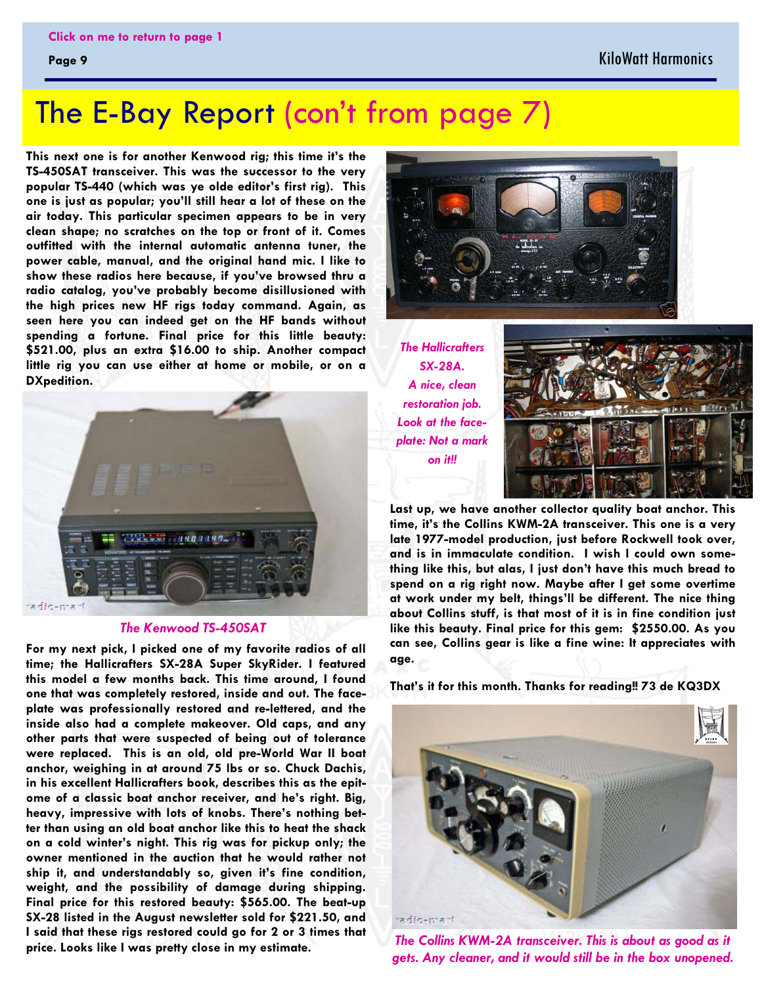## <span id="page-8-0"></span>The E-Bay Report [\(con't from page 7\)](#page-6-0)

**This next one is for another Kenwood rig; this time it's the TS-450SAT transceiver. This was the successor to the very popular TS-440 (which was ye olde editor's first rig). This one is just as popular; you'll still hear a lot of these on the air today. This particular specimen appears to be in very clean shape; no scratches on the top or front of it. Comes outfitted with the internal automatic antenna tuner, the power cable, manual, and the original hand mic. I like to show these radios here because, if you've browsed thru a radio catalog, you've probably become disillusioned with the high prices new HF rigs today command. Again, as seen here you can indeed get on the HF bands without spending a fortune. Final price for this little beauty: \$521.00, plus an extra \$16.00 to ship. Another compact little rig you can use either at home or mobile, or on a DXpedition.** 



#### *The Kenwood TS-450SAT*

**For my next pick, I picked one of my favorite radios of all time; the Hallicrafters SX-28A Super SkyRider. I featured this model a few months back. This time around, I found one that was completely restored, inside and out. The faceplate was professionally restored and re-lettered, and the inside also had a complete makeover. Old caps, and any other parts that were suspected of being out of tolerance were replaced. This is an old, old pre-World War II boat anchor, weighing in at around 75 lbs or so. Chuck Dachis, in his excellent Hallicrafters book, describes this as the epitome of a classic boat anchor receiver, and he's right. Big, heavy, impressive with lots of knobs. There's nothing better than using an old boat anchor like this to heat the shack on a cold winter's night. This rig was for pickup only; the owner mentioned in the auction that he would rather not ship it, and understandably so, given it's fine condition, weight, and the possibility of damage during shipping. Final price for this restored beauty: \$565.00. The beat-up SX-28 listed in the August newsletter sold for \$221.50, and I said that these rigs restored could go for 2 or 3 times that price. Looks like I was pretty close in my estimate.** 



*The Hallicrafters SX-28A. A nice, clean restoration job. Look at the faceplate: Not a mark on it!!* 



**Last up, we have another collector quality boat anchor. This time, it's the Collins KWM-2A transceiver. This one is a very late 1977-model production, just before Rockwell took over, and is in immaculate condition. I wish I could own something like this, but alas, I just don't have this much bread to spend on a rig right now. Maybe after I get some overtime at work under my belt, things'll be different. The nice thing about Collins stuff, is that most of it is in fine condition just like this beauty. Final price for this gem: \$2550.00. As you can see, Collins gear is like a fine wine: It appreciates with age.** 

**That's it for this month. Thanks for reading!! 73 de KQ3DX** 



*The Collins KWM-2A transceiver. This is about as good as it gets. Any cleaner, and it would still be in the box unopened.*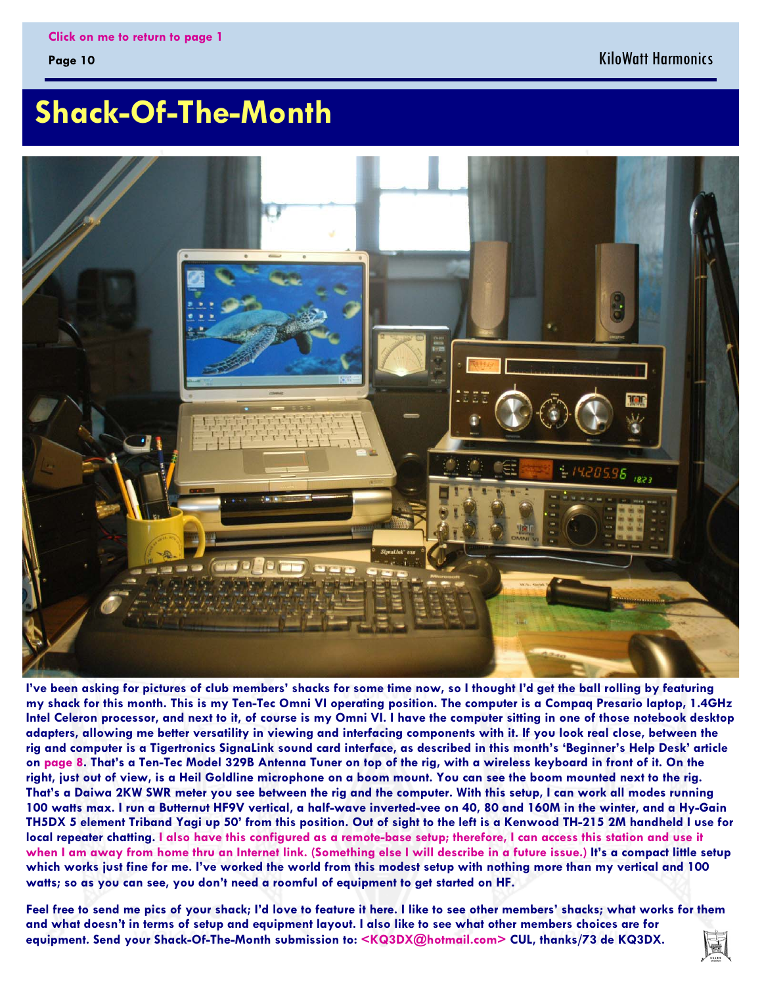#### KiloWatt Harmonics

## <span id="page-9-0"></span> **Shack-Of-The-Month**



**I've been asking for pictures of club members' shacks for some time now, so I thought I'd get the ball rolling by featuring my shack for this month. This is my Ten-Tec Omni VI operating position. The computer is a Compaq Presario laptop, 1.4GHz Intel Celeron processor, and next to it, of course is my Omni VI. I have the computer sitting in one of those notebook desktop adapters, allowing me better versatility in viewing and interfacing components with it. If you look real close, between the rig and computer is a Tigertronics SignaLink sound card interface, as described in this month's 'Beginner's Help Desk' article on page 8. That's a Ten-Tec Model 329B Antenna Tuner on top of the rig, with a wireless keyboard in front of it. On the right, just out of view, is a Heil Goldline microphone on a boom mount. You can see the boom mounted next to the rig. That's a Daiwa 2KW SWR meter you see between the rig and the computer. With this setup, I can work all modes running 100 watts max. I run a Butternut HF9V vertical, a half-wave inverted-vee on 40, 80 and 160M in the winter, and a Hy-Gain TH5DX 5 element Triband Yagi up 50' from this position. Out of sight to the left is a Kenwood TH-215 2M handheld I use for local repeater chatting. I also have this configured as a remote-base setup; therefore, I can access this station and use it when I am away from home thru an Internet link. (Something else I will describe in a future issue.) It's a compact little setup which works just fine for me. I've worked the world from this modest setup with nothing more than my vertical and 100 watts; so as you can see, you don't need a roomful of equipment to get started on HF.** 

**Feel free to send me pics of your shack; I'd love to feature it here. I like to see other members' shacks; what works for them and what doesn't in terms of setup and equipment layout. I also like to see what other members choices are for equipment. Send your Shack-Of-The-Month submission to: <KQ3DX@hotmail.com> CUL, thanks/73 de KQ3DX.**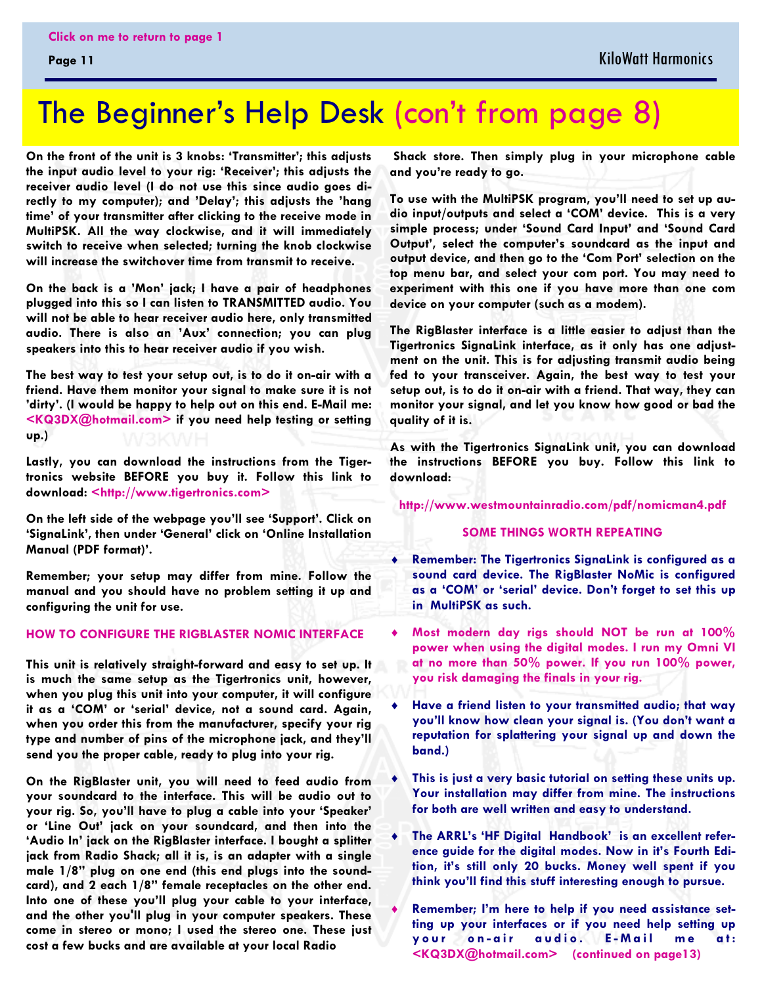## <span id="page-10-0"></span>The Beginner's Help Desk [\(con't from page 8\)](#page-7-0)

**On the front of the unit is 3 knobs: 'Transmitter'; this adjusts the input audio level to your rig: 'Receiver'; this adjusts the receiver audio level (I do not use this since audio goes directly to my computer); and 'Delay'; this adjusts the 'hang time' of your transmitter after clicking to the receive mode in MultiPSK. All the way clockwise, and it will immediately switch to receive when selected; turning the knob clockwise will increase the switchover time from transmit to receive.** 

**On the back is a 'Mon' jack; I have a pair of headphones plugged into this so I can listen to TRANSMITTED audio. You will not be able to hear receiver audio here, only transmitted audio. There is also an 'Aux' connection; you can plug speakers into this to hear receiver audio if you wish.** 

**The best way to test your setup out, is to do it on-air with a friend. Have them monitor your signal to make sure it is not 'dirty'. (I would be happy to help out on this end. E-Mail me: <KQ3DX@hotmail.com> if you need help testing or setting up.)** 

**Lastly, you can download the instructions from the Tigertronics website BEFORE you buy it. Follow this link to download: <http://www.tigertronics.com>** 

**On the left side of the webpage you'll see 'Support'. Click on 'SignaLink', then under 'General' click on 'Online Installation Manual (PDF format)'.** 

**Remember; your setup may differ from mine. Follow the manual and you should have no problem setting it up and configuring the unit for use.** 

#### **HOW TO CONFIGURE THE RIGBLASTER NOMIC INTERFACE**

**This unit is relatively straight-forward and easy to set up. It is much the same setup as the Tigertronics unit, however, when you plug this unit into your computer, it will configure it as a 'COM' or 'serial' device, not a sound card. Again, when you order this from the manufacturer, specify your rig type and number of pins of the microphone jack, and they'll send you the proper cable, ready to plug into your rig.** 

**On the RigBlaster unit, you will need to feed audio from your soundcard to the interface. This will be audio out to your rig. So, you'll have to plug a cable into your 'Speaker' or 'Line Out' jack on your soundcard, and then into the 'Audio In' jack on the RigBlaster interface. I bought a splitter jack from Radio Shack; all it is, is an adapter with a single male 1/8" plug on one end (this end plugs into the soundcard), and 2 each 1/8" female receptacles on the other end. Into one of these you'll plug your cable to your interface, and the other you'll plug in your computer speakers. These come in stereo or mono; I used the stereo one. These just cost a few bucks and are available at your local Radio** 

 **Shack store. Then simply plug in your microphone cable and you're ready to go.** 

**To use with the MultiPSK program, you'll need to set up audio input/outputs and select a 'COM' device. This is a very simple process; under 'Sound Card Input' and 'Sound Card Output', select the computer's soundcard as the input and output device, and then go to the 'Com Port' selection on the top menu bar, and select your com port. You may need to experiment with this one if you have more than one com device on your computer (such as a modem).** 

**The RigBlaster interface is a little easier to adjust than the Tigertronics SignaLink interface, as it only has one adjustment on the unit. This is for adjusting transmit audio being fed to your transceiver. Again, the best way to test your setup out, is to do it on-air with a friend. That way, they can monitor your signal, and let you know how good or bad the quality of it is.** 

**As with the Tigertronics SignaLink unit, you can download the instructions BEFORE you buy. Follow this link to download:** 

**http://www.westmountainradio.com/pdf/nomicman4.pdf** 

#### **SOME THINGS WORTH REPEATING**

- $\ddot{\bullet}$  **Remember: The Tigertronics SignaLink is configured as a sound card device. The RigBlaster NoMic is configured as a 'COM' or 'serial' device. Don't forget to set this up in MultiPSK as such.**
- $\ddot{\bullet}$  **Most modern day rigs should NOT be run at 100% power when using the digital modes. I run my Omni VI at no more than 50% power. If you run 100% power, you risk damaging the finals in your rig.**
- $\ddot{\bullet}$  **Have a friend listen to your transmitted audio; that way you'll know how clean your signal is. (You don't want a reputation for splattering your signal up and down the band.)**
- $\ddot{\bullet}$  **This is just a very basic tutorial on setting these units up. Your installation may differ from mine. The instructions for both are well written and easy to understand.**
- $\ddot{\bullet}$  **The ARRL's 'HF Digital Handbook' is an excellent reference guide for the digital modes. Now in it's Fourth Edition, it's still only 20 bucks. Money well spent if you think you'll find this stuff interesting enough to pursue.**
- $\ddot{\bullet}$  **Remember; I'm here to help if you need assistance setting up your interfaces or if you need help setting up**  your on-air audio. E-Mail me at: **<KQ3DX@hotmail.com> [\(continued on page13\)](#page-12-0)**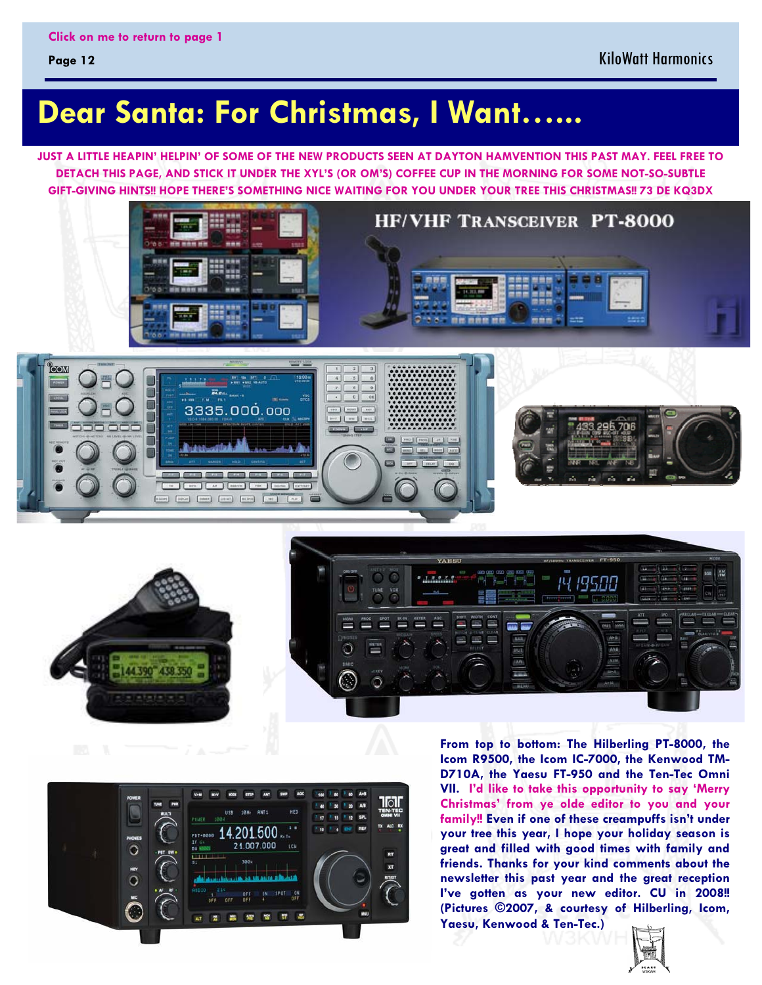#### <span id="page-11-0"></span>**Page 12**

## **Dear Santa: For Christmas, I Want…...**

**JUST A LITTLE HEAPIN' HELPIN' OF SOME OF THE NEW PRODUCTS SEEN AT DAYTON HAMVENTION THIS PAST MAY. FEEL FREE TO DETACH THIS PAGE, AND STICK IT UNDER THE XYL'S (OR OM'S) COFFEE CUP IN THE MORNING FOR SOME NOT-SO-SUBTLE GIFT-GIVING HINTS!! HOPE THERE'S SOMETHING NICE WAITING FOR YOU UNDER YOUR TREE THIS CHRISTMAS!! 73 DE KQ3DX** 



# **HF/VHF TRANSCEIVER PT-8000**

田田田

**関係 資産性** 







**From top to bottom: The Hilberling PT-8000, the Icom R9500, the Icom IC-7000, the Kenwood TM-D710A, the Yaesu FT-950 and the Ten-Tec Omni VII. I'd like to take this opportunity to say 'Merry Christmas' from ye olde editor to you and your family!! Even if one of these creampuffs isn't under your tree this year, I hope your holiday season is great and filled with good times with family and friends. Thanks for your kind comments about the newsletter this past year and the great reception I've gotten as your new editor. CU in 2008!! (Pictures ©2007, & courtesy of Hilberling, Icom, Yaesu, Kenwood & Ten-Tec.)**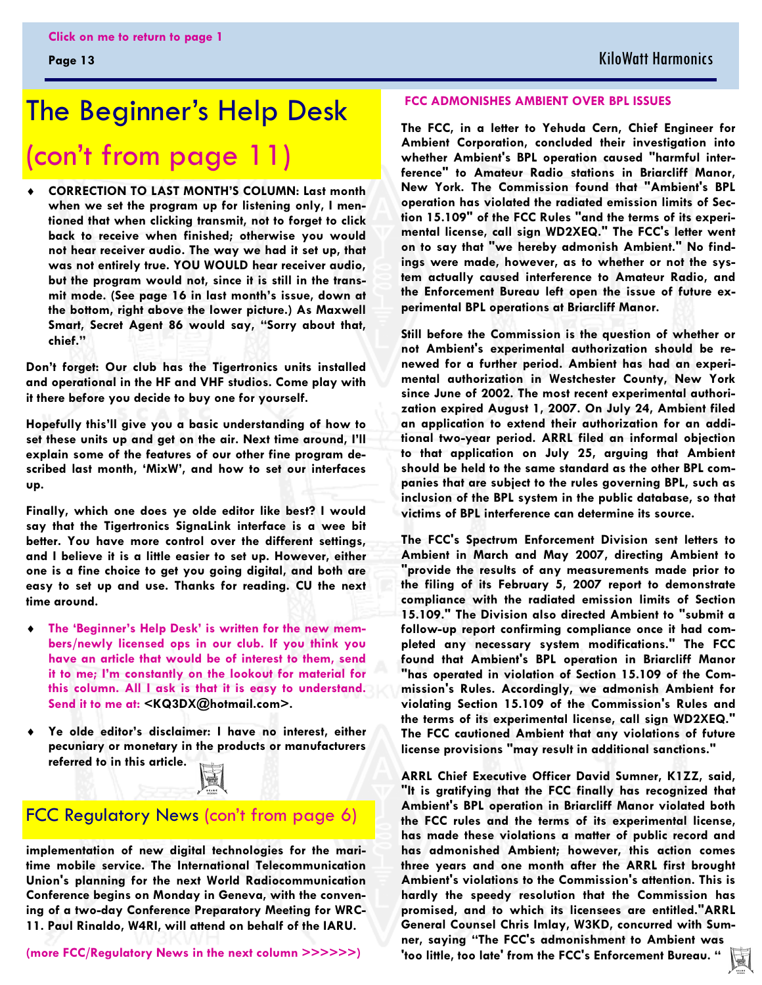## <span id="page-12-0"></span>The Beginner's Help Desk [\(con't from page 11\)](#page-10-0)

 $\ddot{\bullet}$  **CORRECTION TO LAST MONTH'S COLUMN: Last month when we set the program up for listening only, I mentioned that when clicking transmit, not to forget to click back to receive when finished; otherwise you would not hear receiver audio. The way we had it set up, that was not entirely true. YOU WOULD hear receiver audio, but the program would not, since it is still in the transmit mode. (See page 16 in last month's issue, down at the bottom, right above the lower picture.) As Maxwell Smart, Secret Agent 86 would say, "Sorry about that, chief."** 

**Don't forget: Our club has the Tigertronics units installed and operational in the HF and VHF studios. Come play with it there before you decide to buy one for yourself.** 

**Hopefully this'll give you a basic understanding of how to set these units up and get on the air. Next time around, I'll explain some of the features of our other fine program described last month, 'MixW', and how to set our interfaces up.** 

**Finally, which one does ye olde editor like best? I would say that the Tigertronics SignaLink interface is a wee bit better. You have more control over the different settings, and I believe it is a little easier to set up. However, either one is a fine choice to get you going digital, and both are easy to set up and use. Thanks for reading. CU the next time around.** 

- $\ddot{\bullet}$  **The 'Beginner's Help Desk' is written for the new members/newly licensed ops in our club. If you think you have an article that would be of interest to them, send it to me; I'm constantly on the lookout for material for this column. All I ask is that it is easy to understand. Send it to me at: <KQ3DX@hotmail.com>.**
- $\ddot{\bullet}$  **Ye olde editor's disclaimer: I have no interest, either pecuniary or monetary in the products or manufacturers referred to in this article.**



#### FCC Regulatory News [\(con't from page 6\)](#page-5-0)

**implementation of new digital technologies for the maritime mobile service. The International Telecommunication Union's planning for the next World Radiocommunication Conference begins on Monday in Geneva, with the convening of a two-day Conference Preparatory Meeting for WRC-11. Paul Rinaldo, W4RI, will attend on behalf of the IARU.** 

**(more FCC/Regulatory News in the next column >>>>>>)** 

#### **FCC ADMONISHES AMBIENT OVER BPL ISSUES**

 **whether Ambient's BPL operation caused "harmful inter- New York. The Commission found that "Ambient's BPL The FCC, in a letter to Yehuda Cern, Chief Engineer for Ambient Corporation, concluded their investigation into ference" to Amateur Radio stations in Briarcliff Manor, operation has violated the radiated emission limits of Section 15.109" of the FCC Rules "and the terms of its experimental license, call sign WD2XEQ." The FCC's letter went on to say that "we hereby admonish Ambient." No findings were made, however, as to whether or not the system actually caused interference to Amateur Radio, and the Enforcement Bureau left open the issue of future experimental BPL operations at Briarcliff Manor.** 

**Still before the Commission is the question of whether or not Ambient's experimental authorization should be renewed for a further period. Ambient has had an experimental authorization in Westchester County, New York since June of 2002. The most recent experimental authorization expired August 1, 2007. On July 24, Ambient filed an application to extend their authorization for an additional two-year period. ARRL filed an informal objection to that application on July 25, arguing that Ambient should be held to the same standard as the other BPL companies that are subject to the rules governing BPL, such as inclusion of the BPL system in the public database, so that victims of BPL interference can determine its source.** 

**The FCC's Spectrum Enforcement Division sent letters to Ambient in March and May 2007, directing Ambient to "provide the results of any measurements made prior to the filing of its February 5, 2007 report to demonstrate compliance with the radiated emission limits of Section 15.109." The Division also directed Ambient to "submit a follow-up report confirming compliance once it had completed any necessary system modifications." The FCC found that Ambient's BPL operation in Briarcliff Manor "has operated in violation of Section 15.109 of the Commission's Rules. Accordingly, we admonish Ambient for violating Section 15.109 of the Commission's Rules and the terms of its experimental license, call sign WD2XEQ." The FCC cautioned Ambient that any violations of future license provisions "may result in additional sanctions."** 

**ARRL Chief Executive Officer David Sumner, K1ZZ, said, "It is gratifying that the FCC finally has recognized that Ambient's BPL operation in Briarcliff Manor violated both the FCC rules and the terms of its experimental license, has made these violations a matter of public record and has admonished Ambient; however, this action comes three years and one month after the ARRL first brought Ambient's violations to the Commission's attention. This is hardly the speedy resolution that the Commission has promised, and to which its licensees are entitled."ARRL General Counsel Chris Imlay, W3KD, concurred with Sumner, saying "The FCC's admonishment to Ambient was 'too little, too late' from the FCC's Enforcement Bureau. "** 園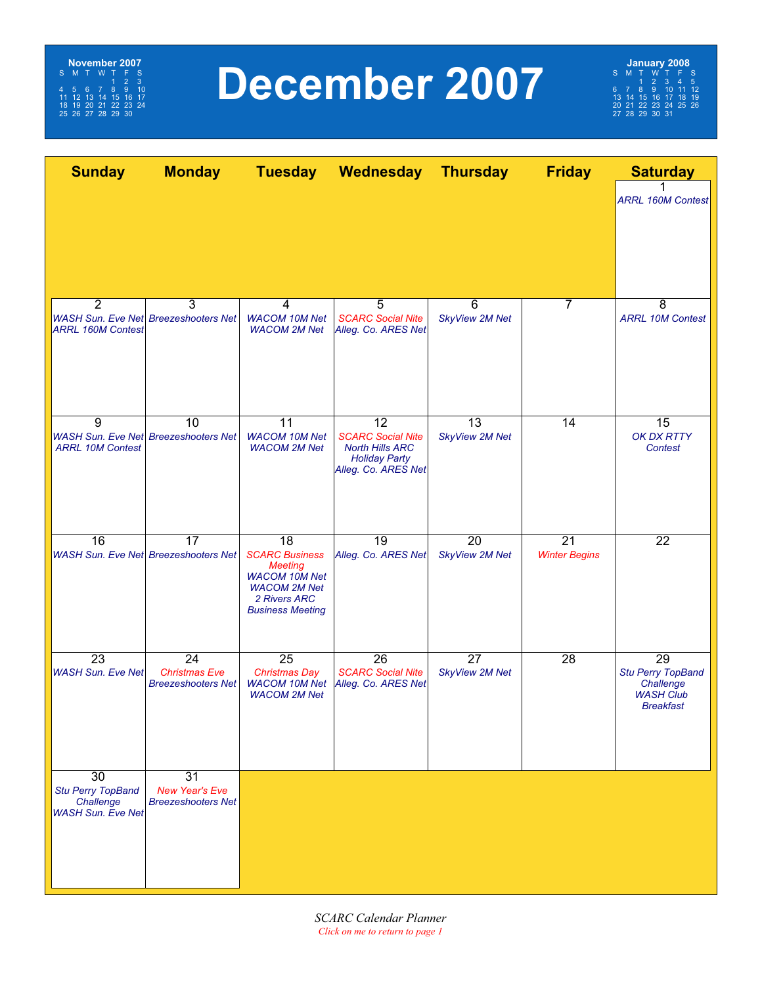<span id="page-13-0"></span>

## **December 2007**

**January 2008**<br>
S M T W T F S<br>
6 7 8 9 10 11 12<br>
13 14 15 16 17 18 19<br>
20 21 22 23 24 25 26<br>
27 28 29 30 31

| <b>Sunday</b>                         | <b>Monday</b>                                     |                                              | Tuesday Wednesday Thursday                         |                       | <b>Friday</b>        | <b>Saturday</b>                       |
|---------------------------------------|---------------------------------------------------|----------------------------------------------|----------------------------------------------------|-----------------------|----------------------|---------------------------------------|
|                                       |                                                   |                                              |                                                    |                       |                      | <b>ARRL 160M Contest</b>              |
|                                       |                                                   |                                              |                                                    |                       |                      |                                       |
|                                       |                                                   |                                              |                                                    |                       |                      |                                       |
| $\overline{2}$                        | 3<br><b>WASH Sun. Eve Net Breezeshooters Net</b>  | 4<br><b>WACOM 10M Net</b>                    | 5<br><b>SCARC Social Nite</b>                      | 6                     | 7                    | 8<br><b>ARRL 10M Contest</b>          |
| <b>ARRL 160M Contest</b>              |                                                   | <b>WACOM 2M Net</b>                          | Alleg. Co. ARES Net                                | <b>SkyView 2M Net</b> |                      |                                       |
|                                       |                                                   |                                              |                                                    |                       |                      |                                       |
|                                       |                                                   |                                              |                                                    |                       |                      |                                       |
|                                       |                                                   |                                              |                                                    |                       |                      |                                       |
| 9                                     | 10                                                | 11                                           | 12                                                 | 13                    | 14                   | 15                                    |
| <b>ARRL 10M Contest</b>               | <b>WASH Sun. Eve Net Breezeshooters Net</b>       | <b>WACOM 10M Net</b><br><b>WACOM 2M Net</b>  | <b>SCARC Social Nite</b><br><b>North Hills ARC</b> | <b>SkyView 2M Net</b> |                      | OK DX RTTY<br><b>Contest</b>          |
|                                       |                                                   |                                              | <b>Holiday Party</b><br>Alleg. Co. ARES Net        |                       |                      |                                       |
|                                       |                                                   |                                              |                                                    |                       |                      |                                       |
|                                       |                                                   |                                              |                                                    |                       |                      |                                       |
| 16                                    | 17                                                | 18                                           | 19                                                 | $\overline{20}$       | $\overline{21}$      | $\overline{22}$                       |
|                                       | <b>WASH Sun. Eve Net Breezeshooters Net</b>       | <b>SCARC Business</b><br><b>Meeting</b>      | Alleg. Co. ARES Net                                | <b>SkyView 2M Net</b> | <b>Winter Begins</b> |                                       |
|                                       |                                                   | <b>WACOM 10M Net</b><br><b>WACOM 2M Net</b>  |                                                    |                       |                      |                                       |
|                                       |                                                   | 2 Rivers ARC<br><b>Business Meeting</b>      |                                                    |                       |                      |                                       |
|                                       |                                                   |                                              |                                                    |                       |                      |                                       |
| $\overline{23}$                       | 24                                                | $\overline{25}$                              | 26                                                 | $\overline{27}$       | $\overline{28}$      | $\overline{29}$                       |
| <b>WASH Sun. Eve Net</b>              | <b>Christmas Eve</b><br><b>Breezeshooters Net</b> | <b>Christmas Day</b><br><b>WACOM 10M Net</b> | <b>SCARC Social Nite</b><br>Alleg. Co. ARES Net    | <b>SkyView 2M Net</b> |                      | <b>Stu Perry TopBand</b><br>Challenge |
|                                       |                                                   | <b>WACOM 2M Net</b>                          |                                                    |                       |                      | <b>WASH Club</b><br><b>Breakfast</b>  |
|                                       |                                                   |                                              |                                                    |                       |                      |                                       |
|                                       |                                                   |                                              |                                                    |                       |                      |                                       |
| $\overline{30}$                       | $\overline{31}$                                   |                                              |                                                    |                       |                      |                                       |
| <b>Stu Perry TopBand</b>              | <b>New Year's Eve</b>                             |                                              |                                                    |                       |                      |                                       |
| Challenge<br><b>WASH Sun. Eve Net</b> | <b>Breezeshooters Net</b>                         |                                              |                                                    |                       |                      |                                       |
|                                       |                                                   |                                              |                                                    |                       |                      |                                       |
|                                       |                                                   |                                              |                                                    |                       |                      |                                       |
|                                       |                                                   |                                              |                                                    |                       |                      |                                       |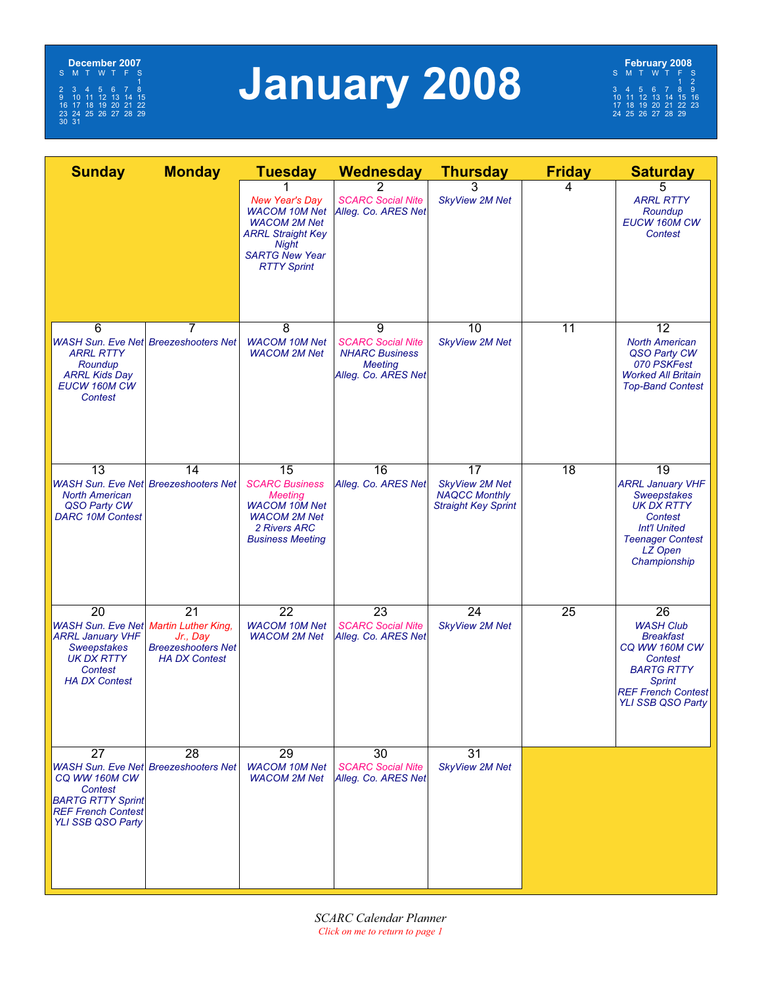

# **January 2008**

**February 2008**<br>
S M T W T F S<br>
3 4 5 6 7 8 9<br>
10 11 12 13 14 15 16<br>
17 18 19 20 21 22 23<br>
24 25 26 27 28 29

| <b>Sunday</b>                                                                                                                                        | <b>Monday</b>                                                                    | <b>Tuesday</b>                                                                                                                                                  | <b>Wednesday</b>                                                                                | <b>Thursday</b>                                                                   | <b>Friday</b>   | <b>Saturday</b>                                                                                                                                                                    |
|------------------------------------------------------------------------------------------------------------------------------------------------------|----------------------------------------------------------------------------------|-----------------------------------------------------------------------------------------------------------------------------------------------------------------|-------------------------------------------------------------------------------------------------|-----------------------------------------------------------------------------------|-----------------|------------------------------------------------------------------------------------------------------------------------------------------------------------------------------------|
|                                                                                                                                                      |                                                                                  | <b>New Year's Day</b><br><b>WACOM 10M Net</b><br><b>WACOM 2M Net</b><br><b>ARRL Straight Key</b><br><b>Night</b><br><b>SARTG New Year</b><br><b>RTTY Sprint</b> | <b>SCARC Social Nite</b><br>Alleg. Co. ARES Net                                                 | 3<br><b>SkyView 2M Net</b>                                                        | 4               | 5<br><b>ARRL RTTY</b><br>Roundup<br>EUCW 160M CW<br>Contest                                                                                                                        |
| 6<br><b>ARRL RTTY</b><br>Roundup<br><b>ARRL Kids Day</b><br>EUCW 160M CW<br>Contest                                                                  | 7<br><b>WASH Sun. Eve Net Breezeshooters Net</b>                                 | 8<br><b>WACOM 10M Net</b><br><b>WACOM 2M Net</b>                                                                                                                | 9<br><b>SCARC Social Nite</b><br><b>NHARC Business</b><br><b>Meeting</b><br>Alleg. Co. ARES Net | 10<br><b>SkyView 2M Net</b>                                                       | 11              | 12<br><b>North American</b><br>QSO Party CW<br>070 PSKFest<br><b>Worked All Britain</b><br><b>Top-Band Contest</b>                                                                 |
| $\overline{13}$<br><b>North American</b><br>QSO Party CW<br><b>DARC 10M Contest</b>                                                                  | 14<br><b>WASH Sun. Eve Net Breezeshooters Net</b>                                | 15<br><b>SCARC Business</b><br><b>Meeting</b><br><b>WACOM 10M Net</b><br><b>WACOM 2M Net</b><br>2 Rivers ARC<br><b>Business Meeting</b>                         | $\overline{16}$<br>Alleg. Co. ARES Net                                                          | 17<br><b>SkyView 2M Net</b><br><b>NAQCC Monthly</b><br><b>Straight Key Sprint</b> | 18              | $\overline{19}$<br><b>ARRL January VHF</b><br><b>Sweepstakes</b><br><b>UK DX RTTY</b><br>Contest<br><b>Int'l United</b><br><b>Teenager Contest</b><br>LZ Open<br>Championship      |
| 20<br>WASH Sun. Eve Net Martin Luther King,<br><b>ARRL January VHF</b><br><b>Sweepstakes</b><br><b>UK DX RTTY</b><br>Contest<br><b>HA DX Contest</b> | $\overline{21}$<br>Jr., Day<br><b>Breezeshooters Net</b><br><b>HA DX Contest</b> | $\overline{22}$<br><b>WACOM 10M Net</b><br><b>WACOM 2M Net</b>                                                                                                  | $\overline{23}$<br><b>SCARC Social Nite</b><br>Alleg. Co. ARES Net                              | 24<br><b>SkyView 2M Net</b>                                                       | $\overline{25}$ | $\overline{26}$<br><b>WASH Club</b><br><b>Breakfast</b><br>CQ WW 160M CW<br>Contest<br><b>BARTG RTTY</b><br><b>Sprint</b><br><b>REF French Contest</b><br><b>YLI SSB QSO Party</b> |
| $\overline{27}$<br>CQ WW 160M CW<br>Contest<br><b>BARTG RTTY Sprint</b><br><b>REF French Contest</b><br>YLI SSB QSO Party                            | 28<br><b>WASH Sun. Eve Net Breezeshooters Net</b>                                | $\overline{29}$<br><b>WACOM 10M Net</b><br><b>WACOM 2M Net</b>                                                                                                  | 30<br><b>SCARC Social Nite</b><br>Alleg. Co. ARES Net                                           | 31<br><b>SkyView 2M Net</b>                                                       |                 |                                                                                                                                                                                    |